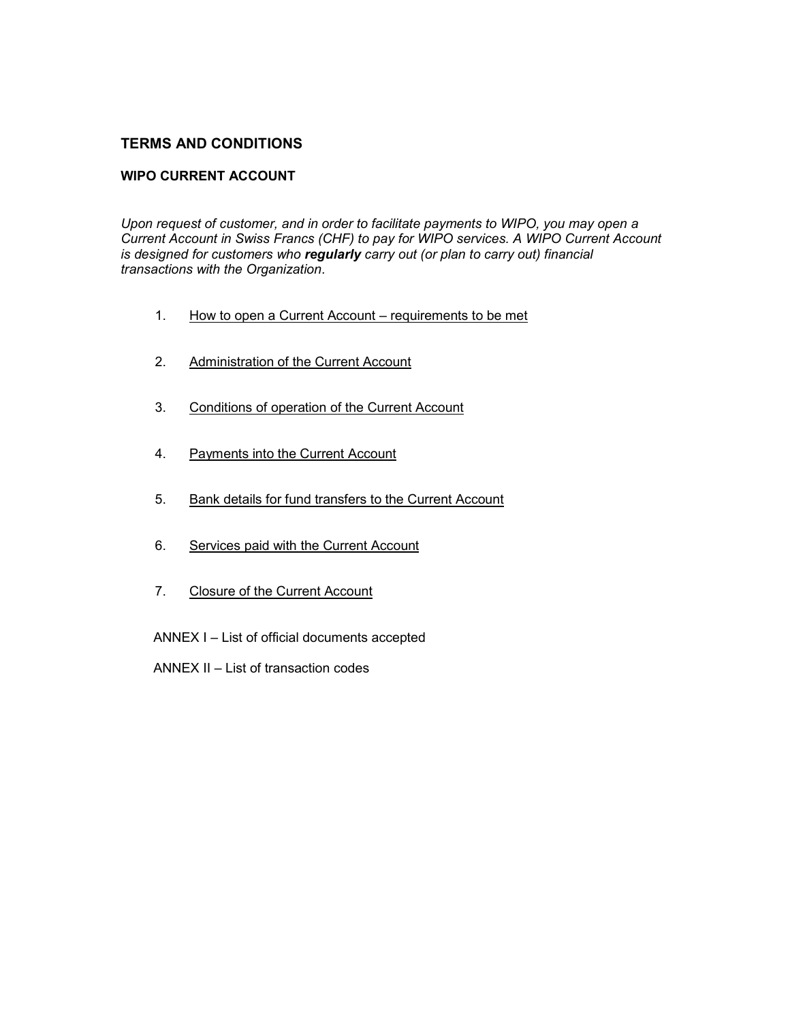# **TERMS AND CONDITIONS**

## **WIPO CURRENT ACCOUNT**

*Upon request of customer, and in order to facilitate payments to WIPO, you may open a Current Account in Swiss Francs (CHF) to pay for WIPO services. A WIPO Current Account is designed for customers who regularly carry out (or plan to carry out) financial transactions with the Organization*.

- 1. How to open a Current Account requirements to be met
- 2. Administration of the Current Account
- 3. Conditions of operation of the Current Account
- 4. Payments into the Current Account
- 5. Bank details for fund transfers to the Current Account
- 6. Services paid with the Current Account
- 7. Closure of the Current Account
- ANNEX I List of official documents accepted
- ANNEX II List of transaction codes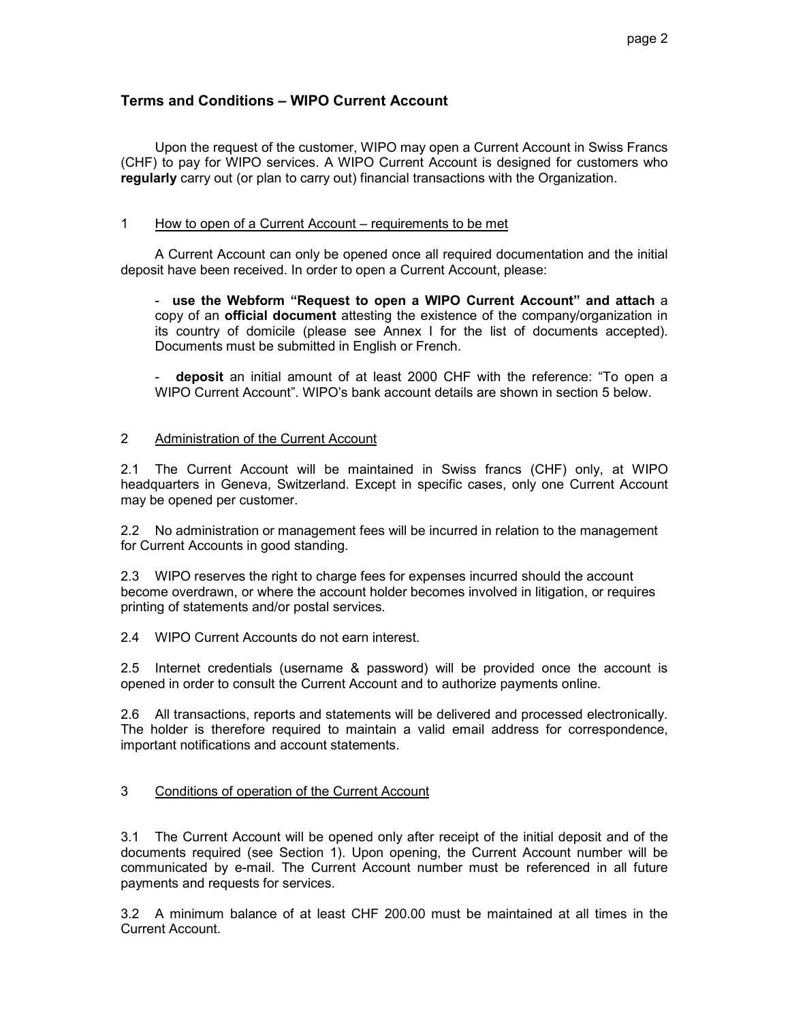## **Terms and Conditions – WIPO Current Account**

 Upon the request of the customer, WIPO may open a Current Account in Swiss Francs (CHF) to pay for WIPO services. A WIPO Current Account is designed for customers who **regularly** carry out (or plan to carry out) financial transactions with the Organization.

## 1 How to open of a Current Account – requirements to be met

 A Current Account can only be opened once all required documentation and the initial deposit have been received. In order to open a Current Account, please:

- **use the Webform "Request to open a WIPO Current Account" and attach** a copy of an **official document** attesting the existence of the company/organization in its country of domicile (please see Annex I for the list of documents accepted). Documents must be submitted in English or French.

- **deposit** an initial amount of at least 2000 CHF with the reference: "To open a WIPO Current Account". WIPO's bank account details are shown in section 5 below.

### 2 Administration of the Current Account

2.1 The Current Account will be maintained in Swiss francs (CHF) only, at WIPO headquarters in Geneva, Switzerland. Except in specific cases, only one Current Account may be opened per customer.

2.2 No administration or management fees will be incurred in relation to the management for Current Accounts in good standing.

2.3 WIPO reserves the right to charge fees for expenses incurred should the account become overdrawn, or where the account holder becomes involved in litigation, or requires printing of statements and/or postal services.

2.4 WIPO Current Accounts do not earn interest.

2.5 Internet credentials (username & password) will be provided once the account is opened in order to consult the Current Account and to authorize payments online.

2.6 All transactions, reports and statements will be delivered and processed electronically. The holder is therefore required to maintain a valid email address for correspondence, important notifications and account statements.

## 3 Conditions of operation of the Current Account

3.1 The Current Account will be opened only after receipt of the initial deposit and of the documents required (see Section 1). Upon opening, the Current Account number will be communicated by e-mail. The Current Account number must be referenced in all future payments and requests for services.

3.2 A minimum balance of at least CHF 200.00 must be maintained at all times in the Current Account.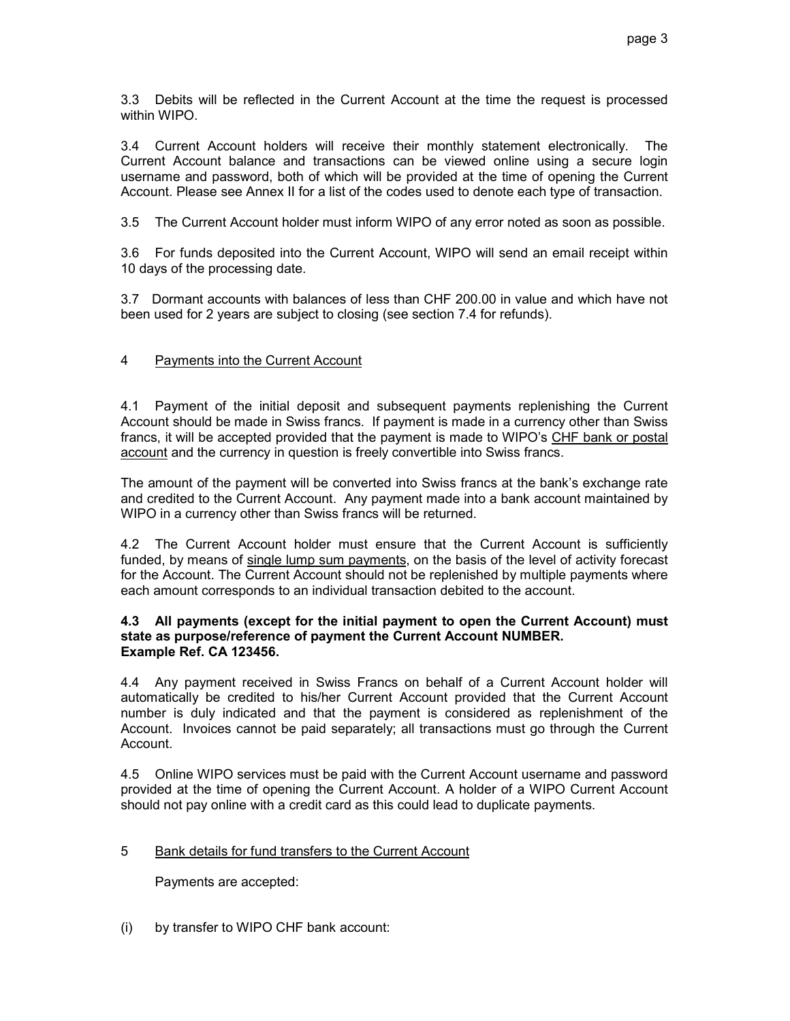3.3 Debits will be reflected in the Current Account at the time the request is processed within WIPO.

3.4 Current Account holders will receive their monthly statement electronically. The Current Account balance and transactions can be viewed online using a secure login username and password, both of which will be provided at the time of opening the Current Account. Please see Annex II for a list of the codes used to denote each type of transaction.

3.5 The Current Account holder must inform WIPO of any error noted as soon as possible.

3.6 For funds deposited into the Current Account, WIPO will send an email receipt within 10 days of the processing date.

3.7 Dormant accounts with balances of less than CHF 200.00 in value and which have not been used for 2 years are subject to closing (see section 7.4 for refunds).

## 4 Payments into the Current Account

4.1 Payment of the initial deposit and subsequent payments replenishing the Current Account should be made in Swiss francs. If payment is made in a currency other than Swiss francs, it will be accepted provided that the payment is made to WIPO's CHF bank or postal account and the currency in question is freely convertible into Swiss francs.

The amount of the payment will be converted into Swiss francs at the bank's exchange rate and credited to the Current Account. Any payment made into a bank account maintained by WIPO in a currency other than Swiss francs will be returned.

4.2 The Current Account holder must ensure that the Current Account is sufficiently funded, by means of single lump sum payments, on the basis of the level of activity forecast for the Account. The Current Account should not be replenished by multiple payments where each amount corresponds to an individual transaction debited to the account.

#### **4.3 All payments (except for the initial payment to open the Current Account) must state as purpose/reference of payment the Current Account NUMBER. Example Ref. CA 123456.**

4.4 Any payment received in Swiss Francs on behalf of a Current Account holder will automatically be credited to his/her Current Account provided that the Current Account number is duly indicated and that the payment is considered as replenishment of the Account. Invoices cannot be paid separately; all transactions must go through the Current Account.

4.5 Online WIPO services must be paid with the Current Account username and password provided at the time of opening the Current Account. A holder of a WIPO Current Account should not pay online with a credit card as this could lead to duplicate payments.

### 5 Bank details for fund transfers to the Current Account

Payments are accepted:

(i) by transfer to WIPO CHF bank account: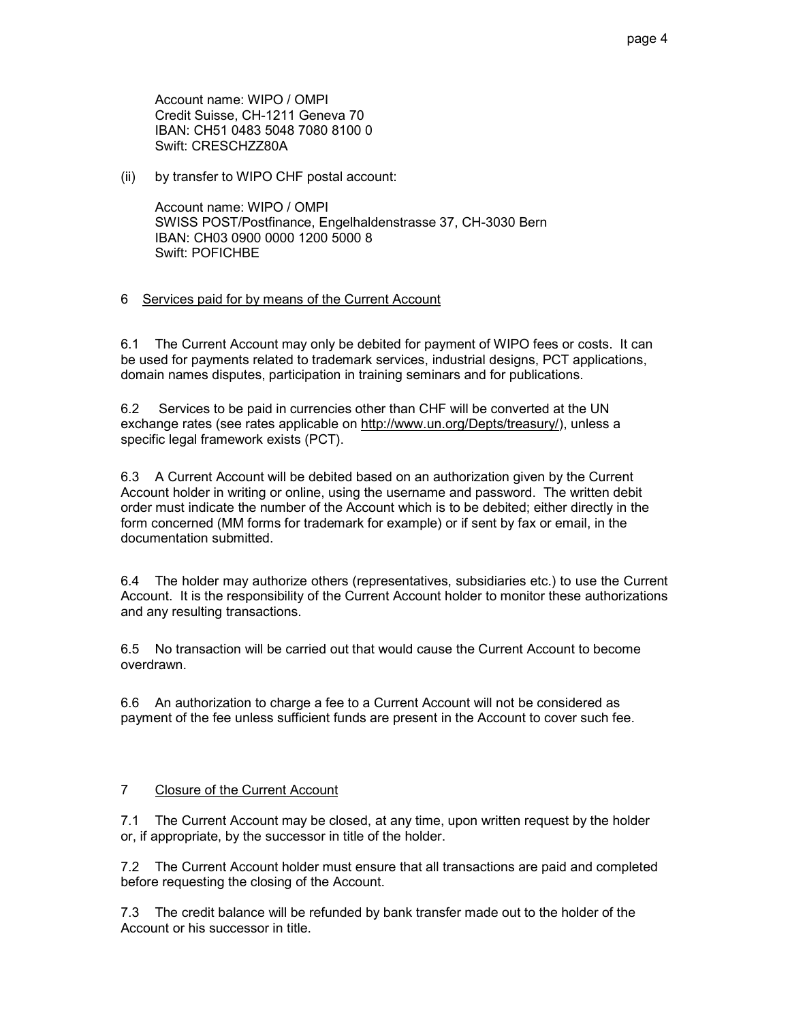Account name: WIPO / OMPI Credit Suisse, CH-1211 Geneva 70 IBAN: CH51 0483 5048 7080 8100 0 Swift: CRESCHZZ80A

(ii) by transfer to WIPO CHF postal account:

Account name: WIPO / OMPI SWISS POST/Postfinance, Engelhaldenstrasse 37, CH-3030 Bern IBAN: CH03 0900 0000 1200 5000 8 Swift: POFICHBE

### 6 Services paid for by means of the Current Account

6.1 The Current Account may only be debited for payment of WIPO fees or costs. It can be used for payments related to trademark services, industrial designs, PCT applications, domain names disputes, participation in training seminars and for publications.

6.2 Services to be paid in currencies other than CHF will be converted at the UN exchange rates (see rates applicable on http://www.un.org/Depts/treasury/), unless a specific legal framework exists (PCT).

6.3 A Current Account will be debited based on an authorization given by the Current Account holder in writing or online, using the username and password. The written debit order must indicate the number of the Account which is to be debited; either directly in the form concerned (MM forms for trademark for example) or if sent by fax or email, in the documentation submitted.

6.4 The holder may authorize others (representatives, subsidiaries etc.) to use the Current Account. It is the responsibility of the Current Account holder to monitor these authorizations and any resulting transactions.

6.5 No transaction will be carried out that would cause the Current Account to become overdrawn.

6.6 An authorization to charge a fee to a Current Account will not be considered as payment of the fee unless sufficient funds are present in the Account to cover such fee.

### 7 Closure of the Current Account

7.1 The Current Account may be closed, at any time, upon written request by the holder or, if appropriate, by the successor in title of the holder.

7.2 The Current Account holder must ensure that all transactions are paid and completed before requesting the closing of the Account.

7.3 The credit balance will be refunded by bank transfer made out to the holder of the Account or his successor in title.